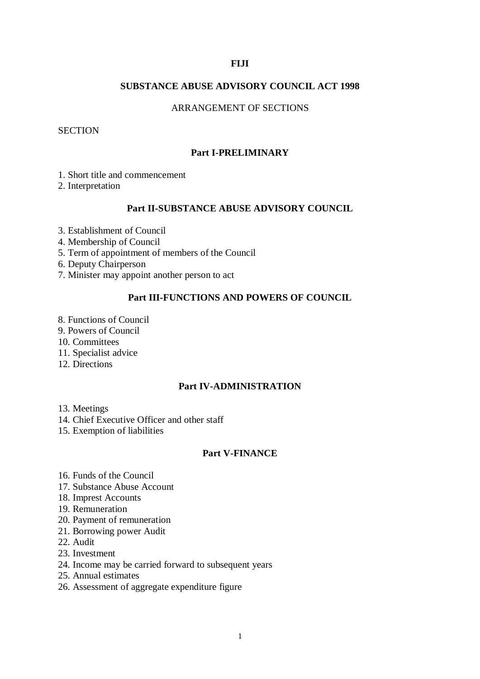#### **FIJI**

#### **SUBSTANCE ABUSE ADVISORY COUNCIL ACT 1998**

### ARRANGEMENT OF SECTIONS

### **SECTION**

#### **Part I-PRELIMINARY**

- 1. Short title and commencement
- 2. Interpretation

## **Part II-SUBSTANCE ABUSE ADVISORY COUNCIL**

- 3. Establishment of Council
- 4. Membership of Council
- 5. Term of appointment of members of the Council
- 6. Deputy Chairperson
- 7. Minister may appoint another person to act

#### **Part III-FUNCTIONS AND POWERS OF COUNCIL**

- 8. Functions of Council
- 9. Powers of Council
- 10. Committees
- 11. Specialist advice
- 12. Directions

## **Part IV-ADMINISTRATION**

- 13. Meetings
- 14. Chief Executive Officer and other staff
- 15. Exemption of liabilities

#### **Part V-FINANCE**

- 16. Funds of the Council
- 17. Substance Abuse Account
- 18. Imprest Accounts
- 19. Remuneration
- 20. Payment of remuneration
- 21. Borrowing power Audit
- 22. Audit
- 23. Investment
- 24. Income may be carried forward to subsequent years
- 25. Annual estimates
- 26. Assessment of aggregate expenditure figure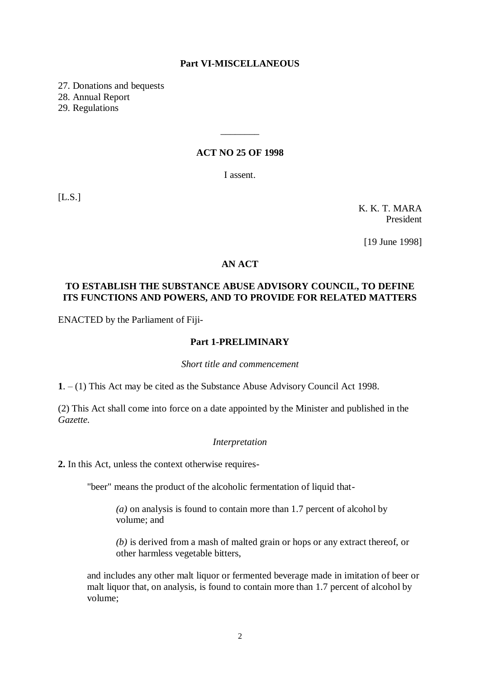#### **Part VI-MISCELLANEOUS**

27. Donations and bequests

28. Annual Report

29. Regulations

### **ACT NO 25 OF 1998**

\_\_\_\_\_\_\_\_

I assent.

[L.S.]

K. K. T. MARA President

[19 June 1998]

### **AN ACT**

## **TO ESTABLISH THE SUBSTANCE ABUSE ADVISORY COUNCIL, TO DEFINE ITS FUNCTIONS AND POWERS, AND TO PROVIDE FOR RELATED MATTERS**

ENACTED by the Parliament of Fiji-

### **Part 1-PRELIMINARY**

*Short title and commencement*

**1**. – (1) This Act may be cited as the Substance Abuse Advisory Council Act 1998.

(2) This Act shall come into force on a date appointed by the Minister and published in the *Gazette.*

#### *Interpretation*

**2.** In this Act, unless the context otherwise requires-

"beer" means the product of the alcoholic fermentation of liquid that-

*(a)* on analysis is found to contain more than 1.7 percent of alcohol by volume; and

*(b)* is derived from a mash of malted grain or hops or any extract thereof, or other harmless vegetable bitters,

and includes any other malt liquor or fermented beverage made in imitation of beer or malt liquor that, on analysis, is found to contain more than 1.7 percent of alcohol by volume;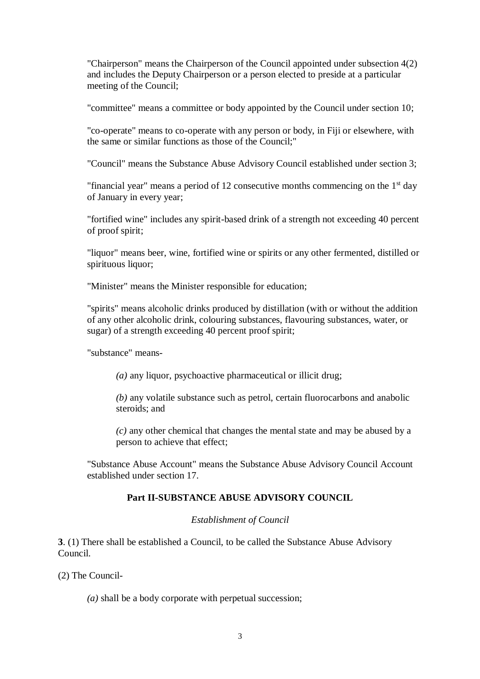"Chairperson" means the Chairperson of the Council appointed under subsection 4(2) and includes the Deputy Chairperson or a person elected to preside at a particular meeting of the Council;

"committee" means a committee or body appointed by the Council under section 10;

"co-operate" means to co-operate with any person or body, in Fiji or elsewhere, with the same or similar functions as those of the Council;"

"Council" means the Substance Abuse Advisory Council established under section 3;

"financial year" means a period of 12 consecutive months commencing on the  $1<sup>st</sup>$  day of January in every year;

"fortified wine" includes any spirit-based drink of a strength not exceeding 40 percent of proof spirit;

"liquor" means beer, wine, fortified wine or spirits or any other fermented, distilled or spirituous liquor;

"Minister" means the Minister responsible for education;

"spirits" means alcoholic drinks produced by distillation (with or without the addition of any other alcoholic drink, colouring substances, flavouring substances, water, or sugar) of a strength exceeding 40 percent proof spirit;

"substance" means-

*(a)* any liquor, psychoactive pharmaceutical or illicit drug;

*(b)* any volatile substance such as petrol, certain fluorocarbons and anabolic steroids; and

*(c)* any other chemical that changes the mental state and may be abused by a person to achieve that effect;

"Substance Abuse Account" means the Substance Abuse Advisory Council Account established under section 17.

#### **Part II-SUBSTANCE ABUSE ADVISORY COUNCIL**

#### *Establishment of Council*

**3**. (1) There shall be established a Council, to be called the Substance Abuse Advisory Council.

(2) The Council-

*(a)* shall be a body corporate with perpetual succession;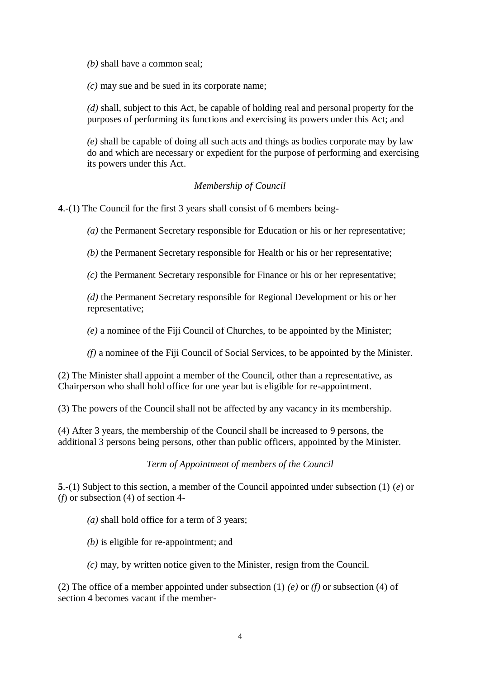*(b)* shall have a common seal;

*(c)* may sue and be sued in its corporate name;

*(d)* shall, subject to this Act, be capable of holding real and personal property for the purposes of performing its functions and exercising its powers under this Act; and

*(e)* shall be capable of doing all such acts and things as bodies corporate may by law do and which are necessary or expedient for the purpose of performing and exercising its powers under this Act.

# *Membership of Council*

**4**.-(1) The Council for the first 3 years shall consist of 6 members being-

*(a)* the Permanent Secretary responsible for Education or his or her representative;

*(b)* the Permanent Secretary responsible for Health or his or her representative;

*(c)* the Permanent Secretary responsible for Finance or his or her representative;

*(d)* the Permanent Secretary responsible for Regional Development or his or her representative;

*(e)* a nominee of the Fiji Council of Churches, to be appointed by the Minister;

*(f)* a nominee of the Fiji Council of Social Services, to be appointed by the Minister.

(2) The Minister shall appoint a member of the Council, other than a representative, as Chairperson who shall hold office for one year but is eligible for re-appointment.

(3) The powers of the Council shall not be affected by any vacancy in its membership.

(4) After 3 years, the membership of the Council shall be increased to 9 persons, the additional 3 persons being persons, other than public officers, appointed by the Minister.

*Term of Appointment of members of the Council*

**5**.-(1) Subject to this section, a member of the Council appointed under subsection (1) (*e*) or (*f*) or subsection (4) of section 4-

*(a)* shall hold office for a term of 3 years;

*(b)* is eligible for re-appointment; and

*(c)* may, by written notice given to the Minister, resign from the Council.

(2) The office of a member appointed under subsection (1) *(e)* or *(f)* or subsection (4) of section 4 becomes vacant if the member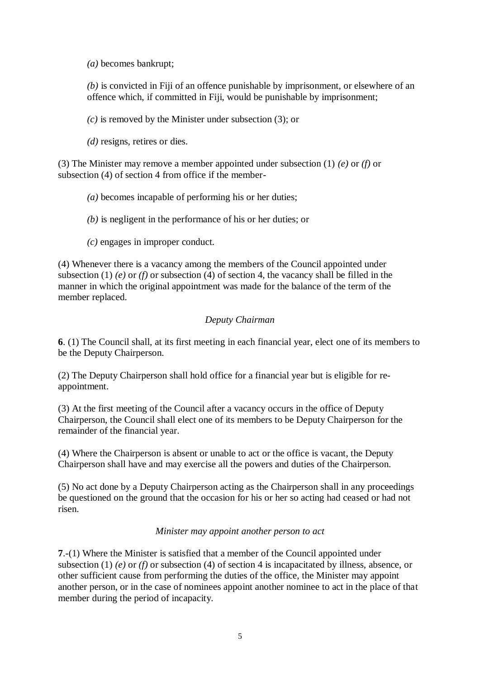*(a)* becomes bankrupt;

*(b)* is convicted in Fiji of an offence punishable by imprisonment, or elsewhere of an offence which, if committed in Fiji, would be punishable by imprisonment;

*(c)* is removed by the Minister under subsection (3); or

*(d)* resigns, retires or dies.

(3) The Minister may remove a member appointed under subsection (1) *(e)* or *(f)* or subsection (4) of section 4 from office if the member-

- *(a)* becomes incapable of performing his or her duties;
- *(b)* is negligent in the performance of his or her duties; or
- *(c)* engages in improper conduct.

(4) Whenever there is a vacancy among the members of the Council appointed under subsection (1) *(e)* or *(f)* or subsection (4) of section 4, the vacancy shall be filled in the manner in which the original appointment was made for the balance of the term of the member replaced.

# *Deputy Chairman*

**6**. (1) The Council shall, at its first meeting in each financial year, elect one of its members to be the Deputy Chairperson.

(2) The Deputy Chairperson shall hold office for a financial year but is eligible for reappointment.

(3) At the first meeting of the Council after a vacancy occurs in the office of Deputy Chairperson, the Council shall elect one of its members to be Deputy Chairperson for the remainder of the financial year.

(4) Where the Chairperson is absent or unable to act or the office is vacant, the Deputy Chairperson shall have and may exercise all the powers and duties of the Chairperson.

(5) No act done by a Deputy Chairperson acting as the Chairperson shall in any proceedings be questioned on the ground that the occasion for his or her so acting had ceased or had not risen.

#### *Minister may appoint another person to act*

**7**.-(1) Where the Minister is satisfied that a member of the Council appointed under subsection (1) *(e)* or *(f)* or subsection (4) of section 4 is incapacitated by illness, absence, or other sufficient cause from performing the duties of the office, the Minister may appoint another person, or in the case of nominees appoint another nominee to act in the place of that member during the period of incapacity.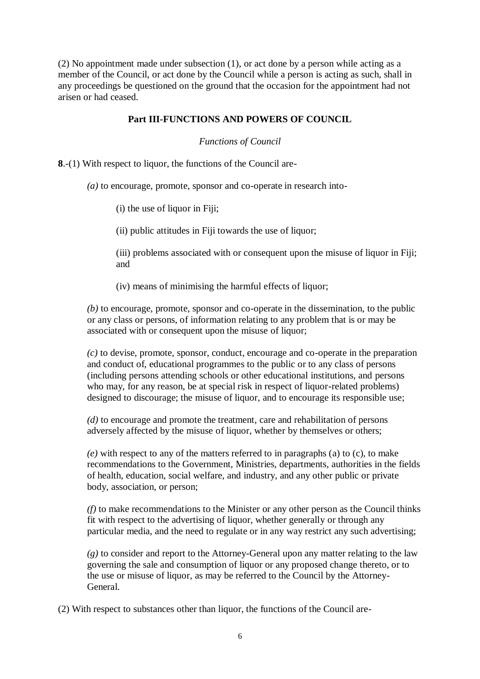(2) No appointment made under subsection (1), or act done by a person while acting as a member of the Council, or act done by the Council while a person is acting as such, shall in any proceedings be questioned on the ground that the occasion for the appointment had not arisen or had ceased.

### **Part III-FUNCTIONS AND POWERS OF COUNCIL**

*Functions of Council*

**8**.-(1) With respect to liquor, the functions of the Council are-

*(a)* to encourage, promote, sponsor and co-operate in research into-

(i) the use of liquor in Fiji;

(ii) public attitudes in Fiji towards the use of liquor;

(iii) problems associated with or consequent upon the misuse of liquor in Fiji; and

(iv) means of minimising the harmful effects of liquor;

*(b)* to encourage, promote, sponsor and co-operate in the dissemination, to the public or any class or persons, of information relating to any problem that is or may be associated with or consequent upon the misuse of liquor;

*(c)* to devise, promote, sponsor, conduct, encourage and co-operate in the preparation and conduct of, educational programmes to the public or to any class of persons (including persons attending schools or other educational institutions, and persons who may, for any reason, be at special risk in respect of liquor-related problems) designed to discourage; the misuse of liquor, and to encourage its responsible use;

*(d)* to encourage and promote the treatment, care and rehabilitation of persons adversely affected by the misuse of liquor, whether by themselves or others;

*(e)* with respect to any of the matters referred to in paragraphs (a) to (c), to make recommendations to the Government, Ministries, departments, authorities in the fields of health, education, social welfare, and industry, and any other public or private body, association, or person;

*(f)* to make recommendations to the Minister or any other person as the Council thinks fit with respect to the advertising of liquor, whether generally or through any particular media, and the need to regulate or in any way restrict any such advertising;

*(g)* to consider and report to the Attorney-General upon any matter relating to the law governing the sale and consumption of liquor or any proposed change thereto, or to the use or misuse of liquor, as may be referred to the Council by the Attorney-General.

(2) With respect to substances other than liquor, the functions of the Council are-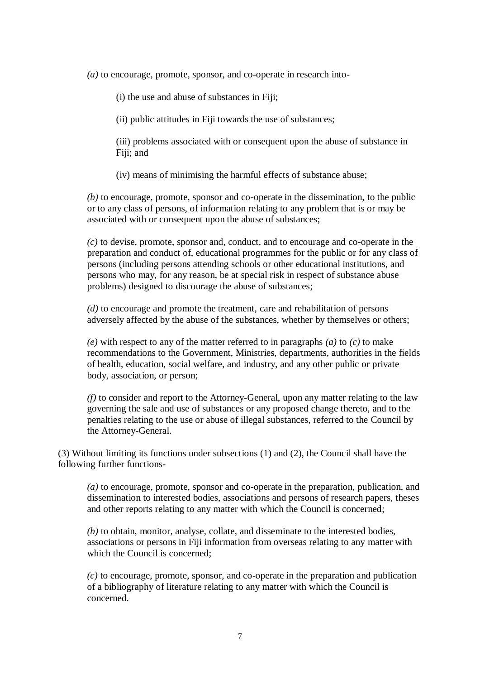*(a)* to encourage, promote, sponsor, and co-operate in research into-

(i) the use and abuse of substances in Fiji;

(ii) public attitudes in Fiji towards the use of substances;

(iii) problems associated with or consequent upon the abuse of substance in Fiji; and

(iv) means of minimising the harmful effects of substance abuse;

*(b)* to encourage, promote, sponsor and co-operate in the dissemination, to the public or to any class of persons, of information relating to any problem that is or may be associated with or consequent upon the abuse of substances;

*(c)* to devise, promote, sponsor and, conduct, and to encourage and co-operate in the preparation and conduct of, educational programmes for the public or for any class of persons (including persons attending schools or other educational institutions, and persons who may, for any reason, be at special risk in respect of substance abuse problems) designed to discourage the abuse of substances;

*(d)* to encourage and promote the treatment, care and rehabilitation of persons adversely affected by the abuse of the substances, whether by themselves or others;

*(e)* with respect to any of the matter referred to in paragraphs *(a)* to *(c)* to make recommendations to the Government, Ministries, departments, authorities in the fields of health, education, social welfare, and industry, and any other public or private body, association, or person;

*(f)* to consider and report to the Attorney-General, upon any matter relating to the law governing the sale and use of substances or any proposed change thereto, and to the penalties relating to the use or abuse of illegal substances, referred to the Council by the Attorney-General.

(3) Without limiting its functions under subsections (1) and (2), the Council shall have the following further functions-

*(a)* to encourage, promote, sponsor and co-operate in the preparation, publication, and dissemination to interested bodies, associations and persons of research papers, theses and other reports relating to any matter with which the Council is concerned;

*(b)* to obtain, monitor, analyse, collate, and disseminate to the interested bodies, associations or persons in Fiji information from overseas relating to any matter with which the Council is concerned:

*(c)* to encourage, promote, sponsor, and co-operate in the preparation and publication of a bibliography of literature relating to any matter with which the Council is concerned.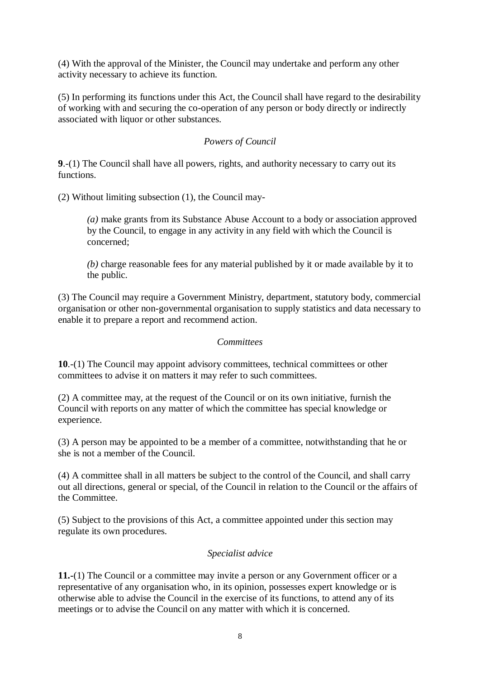(4) With the approval of the Minister, the Council may undertake and perform any other activity necessary to achieve its function.

(5) In performing its functions under this Act, the Council shall have regard to the desirability of working with and securing the co-operation of any person or body directly or indirectly associated with liquor or other substances.

## *Powers of Council*

**9**.-(1) The Council shall have all powers, rights, and authority necessary to carry out its functions.

(2) Without limiting subsection (1), the Council may-

*(a)* make grants from its Substance Abuse Account to a body or association approved by the Council, to engage in any activity in any field with which the Council is concerned;

*(b)* charge reasonable fees for any material published by it or made available by it to the public.

(3) The Council may require a Government Ministry, department, statutory body, commercial organisation or other non-governmental organisation to supply statistics and data necessary to enable it to prepare a report and recommend action.

#### *Committees*

**10**.-(1) The Council may appoint advisory committees, technical committees or other committees to advise it on matters it may refer to such committees.

(2) A committee may, at the request of the Council or on its own initiative, furnish the Council with reports on any matter of which the committee has special knowledge or experience.

(3) A person may be appointed to be a member of a committee, notwithstanding that he or she is not a member of the Council.

(4) A committee shall in all matters be subject to the control of the Council, and shall carry out all directions, general or special, of the Council in relation to the Council or the affairs of the Committee.

(5) Subject to the provisions of this Act, a committee appointed under this section may regulate its own procedures.

#### *Specialist advice*

**11.-**(1) The Council or a committee may invite a person or any Government officer or a representative of any organisation who, in its opinion, possesses expert knowledge or is otherwise able to advise the Council in the exercise of its functions, to attend any of its meetings or to advise the Council on any matter with which it is concerned.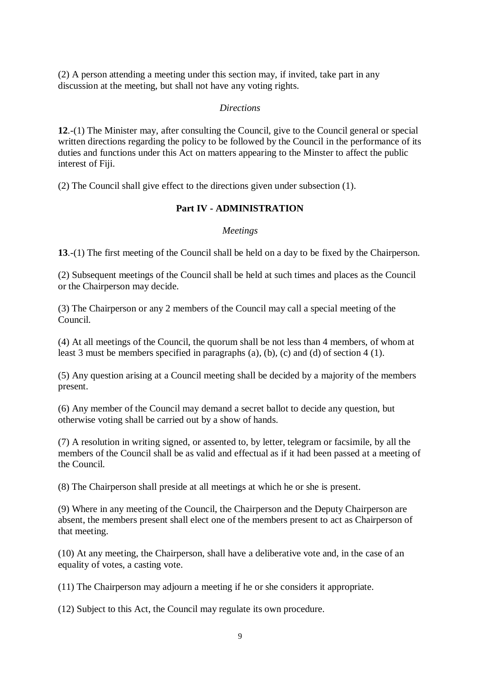(2) A person attending a meeting under this section may, if invited, take part in any discussion at the meeting, but shall not have any voting rights.

#### *Directions*

**12**.-(1) The Minister may, after consulting the Council, give to the Council general or special written directions regarding the policy to be followed by the Council in the performance of its duties and functions under this Act on matters appearing to the Minster to affect the public interest of Fiji.

(2) The Council shall give effect to the directions given under subsection (1).

#### **Part IV - ADMINISTRATION**

#### *Meetings*

**13**.-(1) The first meeting of the Council shall be held on a day to be fixed by the Chairperson.

(2) Subsequent meetings of the Council shall be held at such times and places as the Council or the Chairperson may decide.

(3) The Chairperson or any 2 members of the Council may call a special meeting of the Council.

(4) At all meetings of the Council, the quorum shall be not less than 4 members, of whom at least 3 must be members specified in paragraphs (a)*,* (b)*,* (c) and (d) of section 4 (1).

(5) Any question arising at a Council meeting shall be decided by a majority of the members present.

(6) Any member of the Council may demand a secret ballot to decide any question, but otherwise voting shall be carried out by a show of hands.

(7) A resolution in writing signed, or assented to, by letter, telegram or facsimile, by all the members of the Council shall be as valid and effectual as if it had been passed at a meeting of the Council.

(8) The Chairperson shall preside at all meetings at which he or she is present.

(9) Where in any meeting of the Council, the Chairperson and the Deputy Chairperson are absent, the members present shall elect one of the members present to act as Chairperson of that meeting.

(10) At any meeting, the Chairperson, shall have a deliberative vote and, in the case of an equality of votes, a casting vote.

(11) The Chairperson may adjourn a meeting if he or she considers it appropriate.

(12) Subject to this Act, the Council may regulate its own procedure.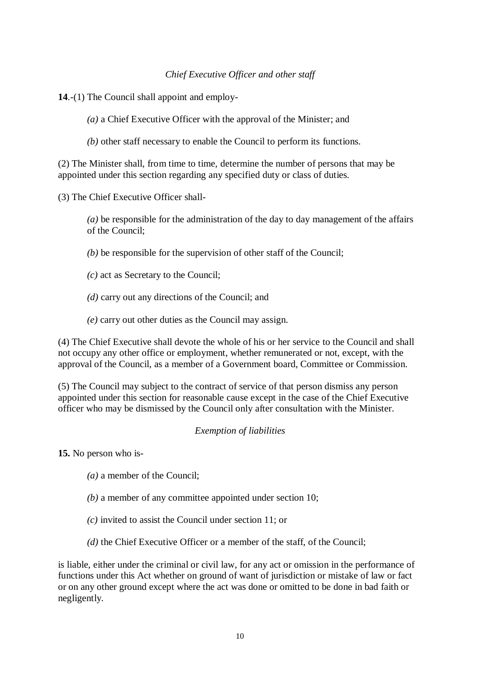### *Chief Executive Officer and other staff*

**14**.-(1) The Council shall appoint and employ-

*(a)* a Chief Executive Officer with the approval of the Minister; and

*(b)* other staff necessary to enable the Council to perform its functions.

(2) The Minister shall, from time to time, determine the number of persons that may be appointed under this section regarding any specified duty or class of duties.

(3) The Chief Executive Officer shall-

*(a)* be responsible for the administration of the day to day management of the affairs of the Council;

- *(b)* be responsible for the supervision of other staff of the Council;
- *(c)* act as Secretary to the Council;
- *(d)* carry out any directions of the Council; and
- *(e)* carry out other duties as the Council may assign.

(4) The Chief Executive shall devote the whole of his or her service to the Council and shall not occupy any other office or employment, whether remunerated or not, except, with the approval of the Council, as a member of a Government board, Committee or Commission.

(5) The Council may subject to the contract of service of that person dismiss any person appointed under this section for reasonable cause except in the case of the Chief Executive officer who may be dismissed by the Council only after consultation with the Minister.

#### *Exemption of liabilities*

**15.** No person who is-

- *(a)* a member of the Council;
- *(b)* a member of any committee appointed under section 10;
- *(c)* invited to assist the Council under section 11; or
- *(d)* the Chief Executive Officer or a member of the staff, of the Council;

is liable, either under the criminal or civil law, for any act or omission in the performance of functions under this Act whether on ground of want of jurisdiction or mistake of law or fact or on any other ground except where the act was done or omitted to be done in bad faith or negligently.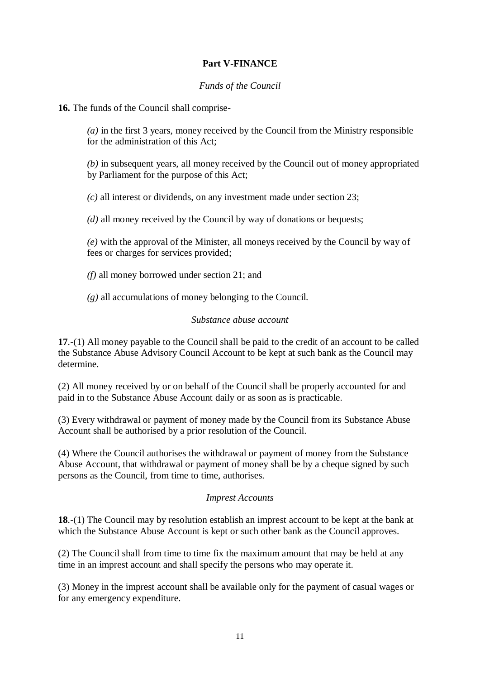# **Part V-FINANCE**

## *Funds of the Council*

**16.** The funds of the Council shall comprise-

*(a)* in the first 3 years, money received by the Council from the Ministry responsible for the administration of this Act;

*(b)* in subsequent years, all money received by the Council out of money appropriated by Parliament for the purpose of this Act;

*(c)* all interest or dividends, on any investment made under section 23;

*(d)* all money received by the Council by way of donations or bequests;

*(e)* with the approval of the Minister, all moneys received by the Council by way of fees or charges for services provided;

*(f)* all money borrowed under section 21; and

*(g)* all accumulations of money belonging to the Council.

#### *Substance abuse account*

**17**.-(1) All money payable to the Council shall be paid to the credit of an account to be called the Substance Abuse Advisory Council Account to be kept at such bank as the Council may determine.

(2) All money received by or on behalf of the Council shall be properly accounted for and paid in to the Substance Abuse Account daily or as soon as is practicable.

(3) Every withdrawal or payment of money made by the Council from its Substance Abuse Account shall be authorised by a prior resolution of the Council.

(4) Where the Council authorises the withdrawal or payment of money from the Substance Abuse Account, that withdrawal or payment of money shall be by a cheque signed by such persons as the Council, from time to time, authorises.

#### *Imprest Accounts*

**18**.-(1) The Council may by resolution establish an imprest account to be kept at the bank at which the Substance Abuse Account is kept or such other bank as the Council approves.

(2) The Council shall from time to time fix the maximum amount that may be held at any time in an imprest account and shall specify the persons who may operate it.

(3) Money in the imprest account shall be available only for the payment of casual wages or for any emergency expenditure.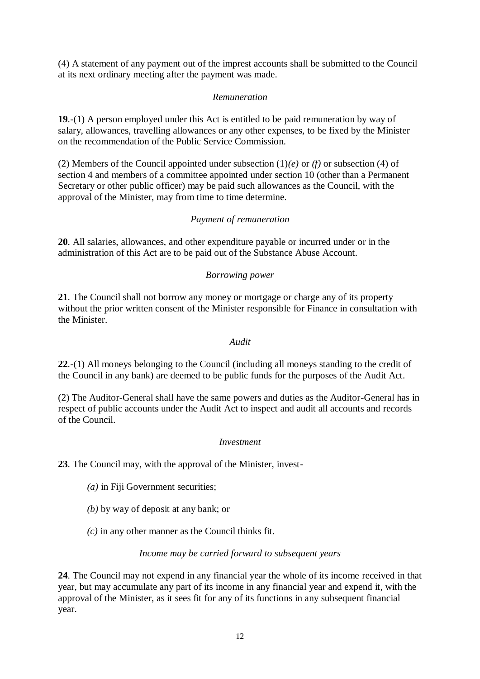(4) A statement of any payment out of the imprest accounts shall be submitted to the Council at its next ordinary meeting after the payment was made.

### *Remuneration*

**19**.-(1) A person employed under this Act is entitled to be paid remuneration by way of salary, allowances, travelling allowances or any other expenses, to be fixed by the Minister on the recommendation of the Public Service Commission.

(2) Members of the Council appointed under subsection (1)*(e)* or *(f)* or subsection (4) of section 4 and members of a committee appointed under section 10 (other than a Permanent Secretary or other public officer) may be paid such allowances as the Council, with the approval of the Minister, may from time to time determine.

# *Payment of remuneration*

**20**. All salaries, allowances, and other expenditure payable or incurred under or in the administration of this Act are to be paid out of the Substance Abuse Account.

### *Borrowing power*

**21**. The Council shall not borrow any money or mortgage or charge any of its property without the prior written consent of the Minister responsible for Finance in consultation with the Minister.

#### *Audit*

**22**.-(1) All moneys belonging to the Council (including all moneys standing to the credit of the Council in any bank) are deemed to be public funds for the purposes of the Audit Act.

(2) The Auditor-General shall have the same powers and duties as the Auditor-General has in respect of public accounts under the Audit Act to inspect and audit all accounts and records of the Council.

#### *Investment*

**23**. The Council may, with the approval of the Minister, invest-

- *(a)* in Fiji Government securities;
- *(b)* by way of deposit at any bank; or
- *(c)* in any other manner as the Council thinks fit.

#### *Income may be carried forward to subsequent years*

**24**. The Council may not expend in any financial year the whole of its income received in that year, but may accumulate any part of its income in any financial year and expend it, with the approval of the Minister, as it sees fit for any of its functions in any subsequent financial year.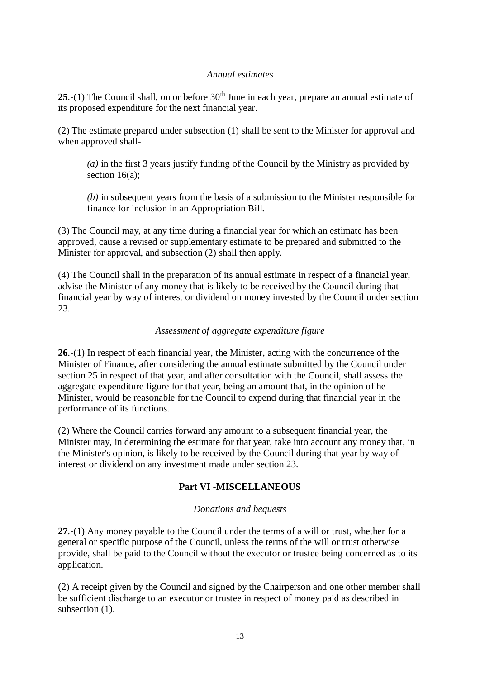### *Annual estimates*

**25**.-(1) The Council shall, on or before  $30<sup>th</sup>$  June in each year, prepare an annual estimate of its proposed expenditure for the next financial year.

(2) The estimate prepared under subsection (1) shall be sent to the Minister for approval and when approved shall-

*(a)* in the first 3 years justify funding of the Council by the Ministry as provided by section 16(a);

*(b)* in subsequent years from the basis of a submission to the Minister responsible for finance for inclusion in an Appropriation Bill.

(3) The Council may, at any time during a financial year for which an estimate has been approved, cause a revised or supplementary estimate to be prepared and submitted to the Minister for approval, and subsection (2) shall then apply.

(4) The Council shall in the preparation of its annual estimate in respect of a financial year, advise the Minister of any money that is likely to be received by the Council during that financial year by way of interest or dividend on money invested by the Council under section 23.

## *Assessment of aggregate expenditure figure*

**26**.-(1) In respect of each financial year, the Minister, acting with the concurrence of the Minister of Finance, after considering the annual estimate submitted by the Council under section 25 in respect of that year, and after consultation with the Council, shall assess the aggregate expenditure figure for that year, being an amount that, in the opinion of he Minister, would be reasonable for the Council to expend during that financial year in the performance of its functions.

(2) Where the Council carries forward any amount to a subsequent financial year, the Minister may, in determining the estimate for that year, take into account any money that, in the Minister's opinion, is likely to be received by the Council during that year by way of interest or dividend on any investment made under section 23.

# **Part VI -MISCELLANEOUS**

#### *Donations and bequests*

**27**.-(1) Any money payable to the Council under the terms of a will or trust, whether for a general or specific purpose of the Council, unless the terms of the will or trust otherwise provide, shall be paid to the Council without the executor or trustee being concerned as to its application.

(2) A receipt given by the Council and signed by the Chairperson and one other member shall be sufficient discharge to an executor or trustee in respect of money paid as described in subsection  $(1)$ .